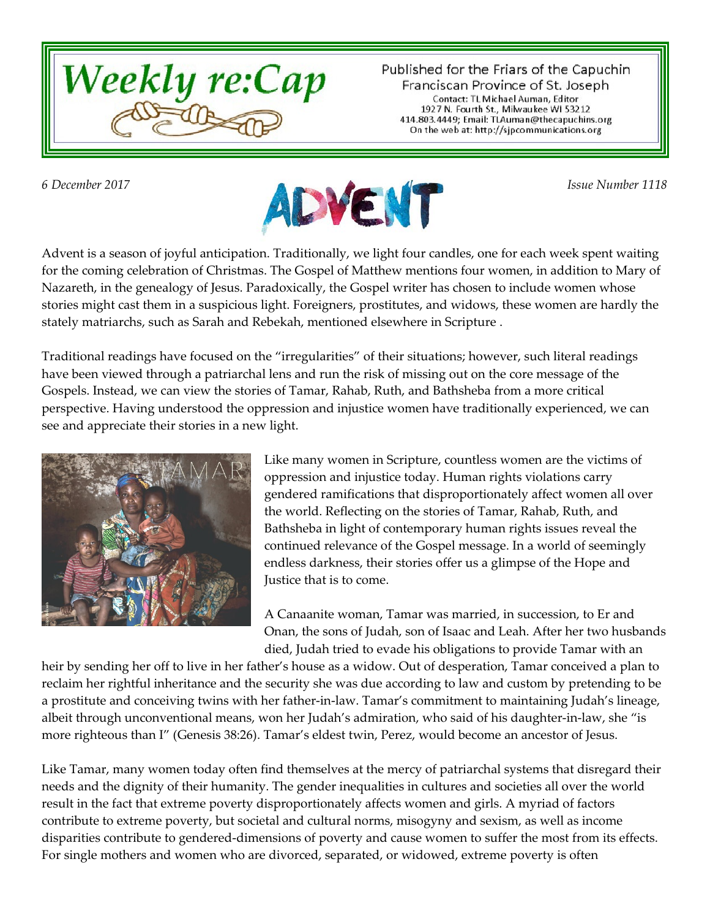

Published for the Friars of the Capuchin Franciscan Province of St. Joseph Contact: TL Michael Auman, Editor 1927 N. Fourth St., Milwaukee WI 53212<br>414.803.4449; Email: TLAuman@thecapuchins.org On the web at: http://sjpcommunications.org



Advent is a season of joyful anticipation. Traditionally, we light four candles, one for each week spent waiting for the coming celebration of Christmas. The Gospel of Matthew mentions four women, in addition to Mary of Nazareth, in the genealogy of Jesus. Paradoxically, the Gospel writer has chosen to include women whose stories might cast them in a suspicious light. Foreigners, prostitutes, and widows, these women are hardly the stately matriarchs, such as Sarah and Rebekah, mentioned elsewhere in Scripture .

Traditional readings have focused on the "irregularities" of their situations; however, such literal readings have been viewed through a patriarchal lens and run the risk of missing out on the core message of the Gospels. Instead, we can view the stories of Tamar, Rahab, Ruth, and Bathsheba from a more critical perspective. Having understood the oppression and injustice women have traditionally experienced, we can see and appreciate their stories in a new light.



Like many women in Scripture, countless women are the victims of oppression and injustice today. Human rights violations carry gendered ramifications that disproportionately affect women all over the world. Reflecting on the stories of Tamar, Rahab, Ruth, and Bathsheba in light of contemporary human rights issues reveal the continued relevance of the Gospel message. In a world of seemingly endless darkness, their stories offer us a glimpse of the Hope and Justice that is to come.

A Canaanite woman, Tamar was married, in succession, to Er and Onan, the sons of Judah, son of Isaac and Leah. After her two husbands died, Judah tried to evade his obligations to provide Tamar with an

heir by sending her off to live in her father's house as a widow. Out of desperation, Tamar conceived a plan to reclaim her rightful inheritance and the security she was due according to law and custom by pretending to be a prostitute and conceiving twins with her father-in-law. Tamar's commitment to maintaining Judah's lineage, albeit through unconventional means, won her Judah's admiration, who said of his daughter-in-law, she "is more righteous than I" (Genesis 38:26). Tamar's eldest twin, Perez, would become an ancestor of Jesus.

Like Tamar, many women today often find themselves at the mercy of patriarchal systems that disregard their needs and the dignity of their humanity. The gender inequalities in cultures and societies all over the world result in the fact that extreme poverty disproportionately affects women and girls. A myriad of factors contribute to extreme poverty, but societal and cultural norms, misogyny and sexism, as well as income disparities contribute to gendered-dimensions of poverty and cause women to suffer the most from its effects. For single mothers and women who are divorced, separated, or widowed, extreme poverty is often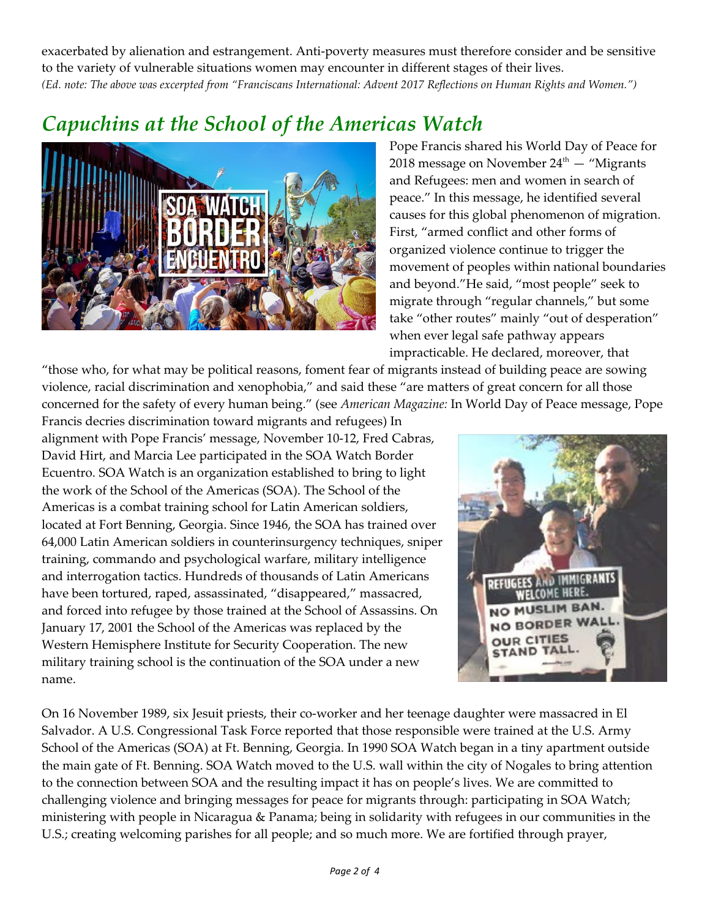exacerbated by alienation and estrangement. Anti-poverty measures must therefore consider and be sensitive to the variety of vulnerable situations women may encounter in different stages of their lives. *(Ed. note: The above was excerpted from "Franciscans International: Advent 2017 Reflections on Human Rights and Women.")*

## *Capuchins at the School of the Americas Watch*



Pope Francis shared his World Day of Peace for 2018 message on November  $24<sup>th</sup>$  – "Migrants" and Refugees: men and women in search of peace." In this message, he identified several causes for this global phenomenon of migration. First, "armed conflict and other forms of organized violence continue to trigger the movement of peoples within national boundaries and beyond."He said, "most people" seek to migrate through "regular channels," but some take "other routes" mainly "out of desperation" when ever legal safe pathway appears impracticable. He declared, moreover, that

"those who, for what may be political reasons, foment fear of migrants instead of building peace are sowing violence, racial discrimination and xenophobia," and said these "are matters of great concern for all those concerned for the safety of every human being." (see *American Magazine:* In World Day of Peace message, Pope

Francis decries discrimination toward migrants and refugees) In alignment with Pope Francis' message, November 10-12, Fred Cabras, David Hirt, and Marcia Lee participated in the SOA Watch Border Ecuentro. SOA Watch is an organization established to bring to light the work of the School of the Americas (SOA). The School of the Americas is a combat training school for Latin American soldiers, located at Fort Benning, Georgia. Since 1946, the SOA has trained over 64,000 Latin American soldiers in counterinsurgency techniques, sniper training, commando and psychological warfare, military intelligence and interrogation tactics. Hundreds of thousands of Latin Americans have been tortured, raped, assassinated, "disappeared," massacred, and forced into refugee by those trained at the School of Assassins. On January 17, 2001 the School of the Americas was replaced by the Western Hemisphere Institute for Security Cooperation. The new military training school is the continuation of the SOA under a new name.



On 16 November 1989, six Jesuit priests, their co-worker and her teenage daughter were massacred in El Salvador. A U.S. Congressional Task Force reported that those responsible were trained at the U.S. Army School of the Americas (SOA) at Ft. Benning, Georgia. In 1990 SOA Watch began in a tiny apartment outside the main gate of Ft. Benning. SOA Watch moved to the U.S. wall within the city of Nogales to bring attention to the connection between SOA and the resulting impact it has on people's lives. We are committed to challenging violence and bringing messages for peace for migrants through: participating in SOA Watch; ministering with people in Nicaragua & Panama; being in solidarity with refugees in our communities in the U.S.; creating welcoming parishes for all people; and so much more. We are fortified through prayer,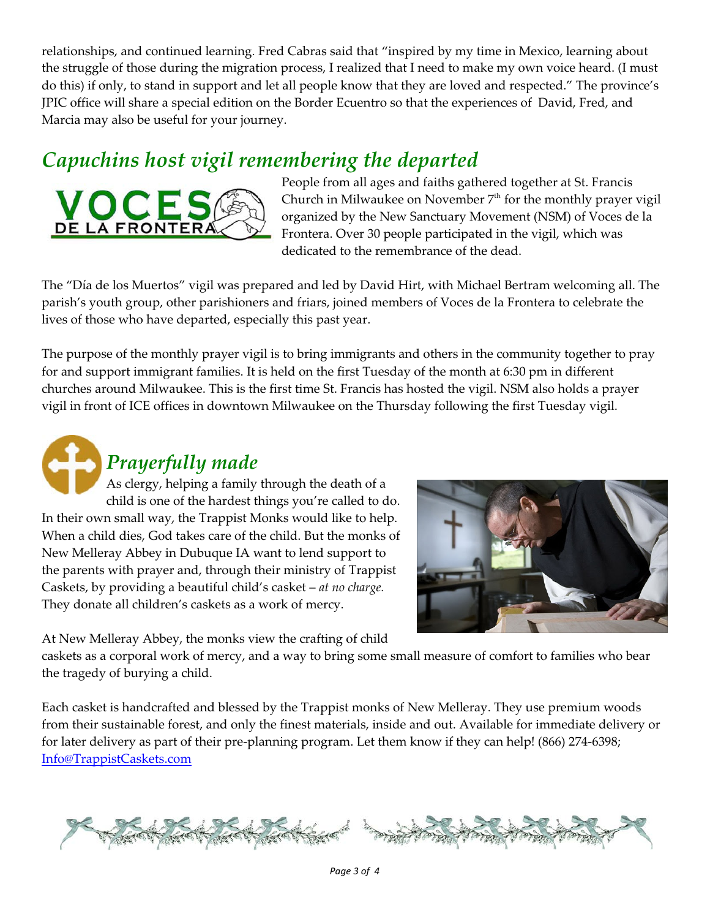relationships, and continued learning. Fred Cabras said that "inspired by my time in Mexico, learning about the struggle of those during the migration process, I realized that I need to make my own voice heard. (I must do this) if only, to stand in support and let all people know that they are loved and respected." The province's JPIC office will share a special edition on the Border Ecuentro so that the experiences of David, Fred, and Marcia may also be useful for your journey.

## *Capuchins host vigil remembering the departed*



People from all ages and faiths gathered together at St. Francis Church in Milwaukee on November  $7<sup>th</sup>$  for the monthly prayer vigil organized by the New Sanctuary Movement (NSM) of Voces de la Frontera. Over 30 people participated in the vigil, which was dedicated to the remembrance of the dead.

The "Día de los Muertos" vigil was prepared and led by David Hirt, with Michael Bertram welcoming all. The parish's youth group, other parishioners and friars, joined members of Voces de la Frontera to celebrate the lives of those who have departed, especially this past year.

The purpose of the monthly prayer vigil is to bring immigrants and others in the community together to pray for and support immigrant families. It is held on the first Tuesday of the month at 6:30 pm in different churches around Milwaukee. This is the first time St. Francis has hosted the vigil. NSM also holds a prayer vigil in front of ICE offices in downtown Milwaukee on the Thursday following the first Tuesday vigil.



## *Prayerfully made*

As clergy, helping a family through the death of a child is one of the hardest things you're called to do. In their own small way, the Trappist Monks would like to help. When a child dies, God takes care of the child. But the monks of New Melleray Abbey in Dubuque IA want to lend support to the parents with prayer and, through their ministry of Trappist Caskets, by providing a beautiful child's casket – *at no charge.* They donate all children's caskets as a work of mercy.



At New Melleray Abbey, the monks view the crafting of child

caskets as a corporal work of mercy, and a way to bring some small measure of comfort to families who bear the tragedy of burying a child.

Each casket is handcrafted and blessed by the Trappist monks of New Melleray. They use premium woods from their sustainable forest, and only the finest materials, inside and out. Available for immediate delivery or for later delivery as part of their pre-planning program. Let them know if they can help! (866) 274-6398; [Info@TrappistCaskets.com](mailto:Info@TrappistCaskets.com)